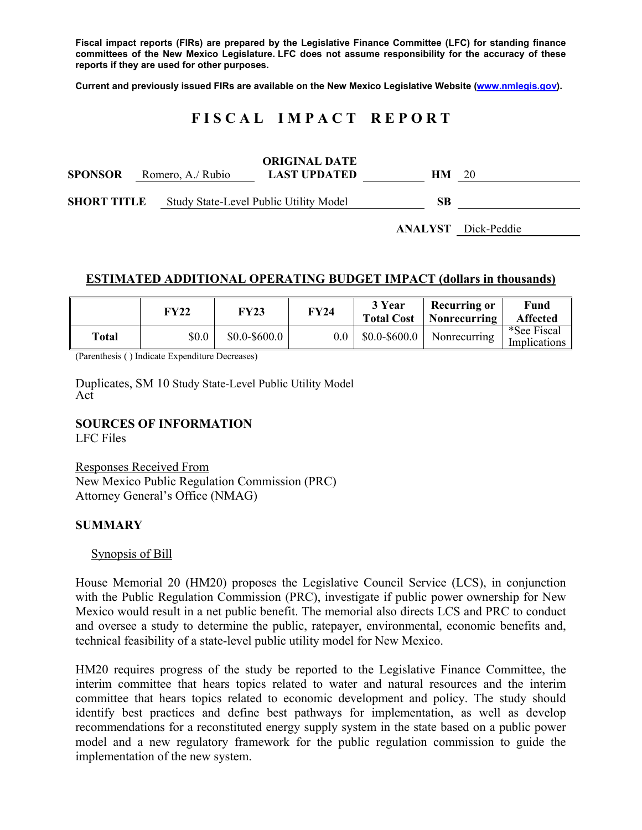**Fiscal impact reports (FIRs) are prepared by the Legislative Finance Committee (LFC) for standing finance committees of the New Mexico Legislature. LFC does not assume responsibility for the accuracy of these reports if they are used for other purposes.** 

**Current and previously issued FIRs are available on the New Mexico Legislative Website (www.nmlegis.gov).** 

# **F I S C A L I M P A C T R E P O R T**

| <b>SPONSOR</b><br>Romero, A./ Rubio |  | <b>ORIGINAL DATE</b><br><b>LAST UPDATED</b> | HМ | 20                         |  |
|-------------------------------------|--|---------------------------------------------|----|----------------------------|--|
| <b>SHORT TITLE</b>                  |  | Study State-Level Public Utility Model      |    |                            |  |
|                                     |  |                                             |    | <b>ANALYST</b> Dick-Peddie |  |

### **ESTIMATED ADDITIONAL OPERATING BUDGET IMPACT (dollars in thousands)**

|       | FY22  | FY23           | <b>FY24</b> | 3 Year<br><b>Total Cost</b> | <b>Recurring or</b><br>Nonrecurring | Fund<br><b>Affected</b>     |
|-------|-------|----------------|-------------|-----------------------------|-------------------------------------|-----------------------------|
| Total | \$0.0 | $$0.0-\$600.0$ | 0.0         | $$0.0 - $600.0$             | Nonrecurring                        | *See Fiscal<br>Implications |

(Parenthesis ( ) Indicate Expenditure Decreases)

Duplicates, SM 10 Study State-Level Public Utility Model Act

#### **SOURCES OF INFORMATION**

LFC Files

Responses Received From New Mexico Public Regulation Commission (PRC) Attorney General's Office (NMAG)

#### **SUMMARY**

#### Synopsis of Bill

House Memorial 20 (HM20) proposes the Legislative Council Service (LCS), in conjunction with the Public Regulation Commission (PRC), investigate if public power ownership for New Mexico would result in a net public benefit. The memorial also directs LCS and PRC to conduct and oversee a study to determine the public, ratepayer, environmental, economic benefits and, technical feasibility of a state-level public utility model for New Mexico.

HM20 requires progress of the study be reported to the Legislative Finance Committee, the interim committee that hears topics related to water and natural resources and the interim committee that hears topics related to economic development and policy. The study should identify best practices and define best pathways for implementation, as well as develop recommendations for a reconstituted energy supply system in the state based on a public power model and a new regulatory framework for the public regulation commission to guide the implementation of the new system.